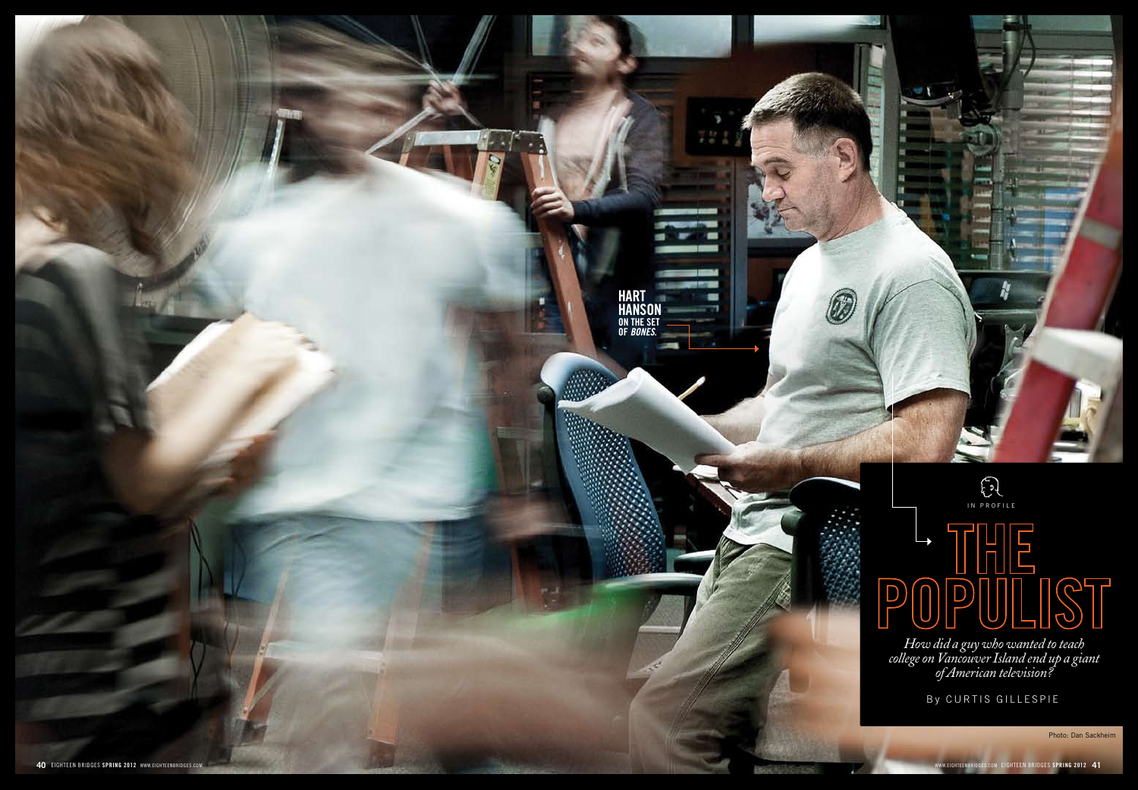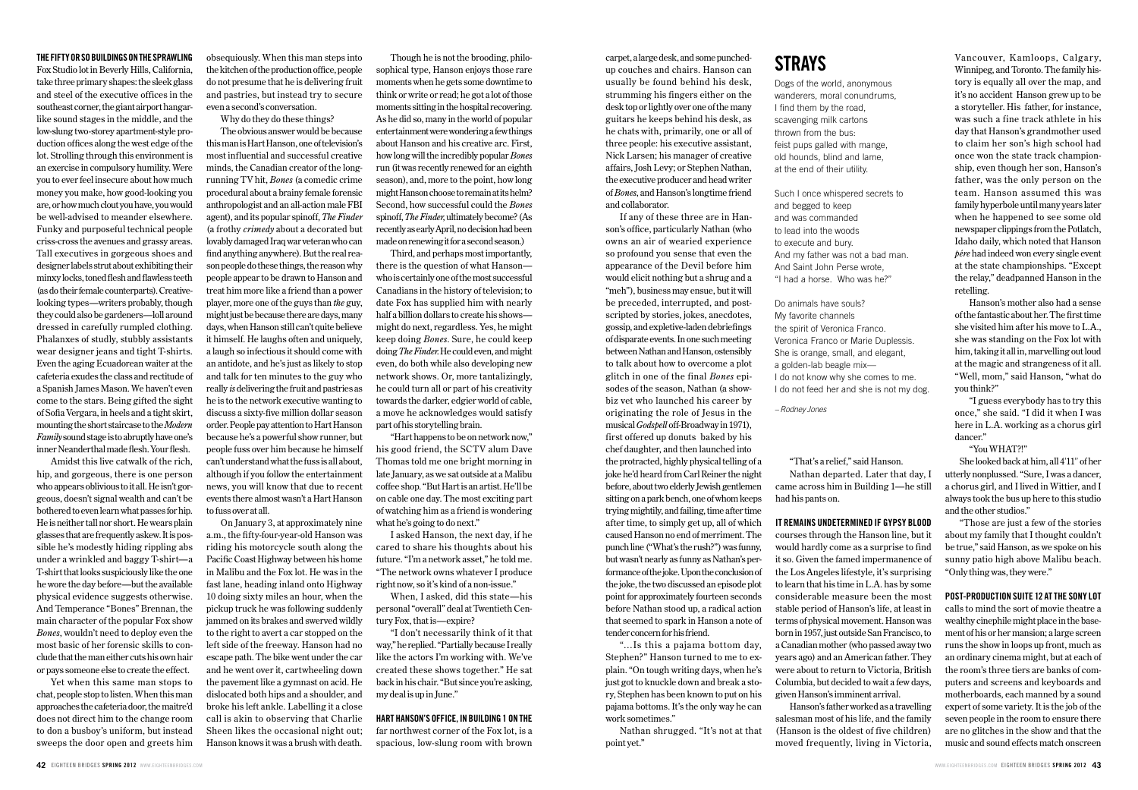#### **The fifty orso buildingsonthe sprawling**

Fox Studio lot in Beverly Hills, California, take three primary shapes: the sleek glass and steel of the executive offices in the southeast corner, the giant airport hangarlike sound stages in the middle, and the low-slung two-storey apartment-style production offices along the west edge of the lot. Strolling through this environment is an exercise in compulsory humility. Were you to ever feel insecure about how much money you make, how good-looking you are, or how much clout you have, you would be well-advised to meander elsewhere. Funky and purposeful technical people criss-cross the avenues and grassy areas. Tall executives in gorgeous shoes and designer labels strut about exhibiting their minxy locks, toned flesh and flawless teeth (as do their female counterparts). Creativelooking types—writers probably, though they could also be gardeners—loll around dressed in carefully rumpled clothing. Phalanxes of studly, stubbly assistants wear designer jeans and tight T-shirts. Even the aging Ecuadorean waiter at the cafeteria exudes the class and rectitude of a Spanish James Mason. We haven't even come to the stars. Being gifted the sight of Sofia Vergara, in heels and a tight skirt, mounting the short staircase to the *Modern Family* sound stage is to abruptly have one's inner Neanderthal made flesh. Your flesh.

Amidst this live catwalk of the rich, hip, and gorgeous, there is one person who appears oblivious to it all. He isn't gorgeous, doesn't signal wealth and can't be bothered to even learn what passes for hip. He is neither tall nor short. He wears plain glasses that are frequently askew. It is possible he's modestly hiding rippling abs under a wrinkled and baggy T-shirt—a T-shirt that looks suspiciously like the one he wore the day before—but the available physical evidence suggests otherwise. And Temperance "Bones" Brennan, the main character of the popular Fox show *Bones*, wouldn't need to deploy even the most basic of her forensic skills to conclude that the man either cuts his own hair or pays someone else to create the effect.

Yet when this same man stops to chat, people stop to listen. When this man approaches the cafeteria door, the maitre'd does not direct him to the change room to don a busboy's uniform, but instead sweeps the door open and greets him

obsequiously. When this man steps into the kitchen of the production office, people do not presume that he is delivering fruit and pastries, but instead try to secure even a second's conversation. Why do they do these things?

The obvious answer would be because this man is Hart Hanson, one of television's most influential and successful creative minds, the Canadian creator of the longrunning TV hit, *Bones* (a comedic crime procedural about a brainy female forensic anthropologist and an all-action male FBI agent), and its popular spinoff, *The Finder* (a frothy *crimedy* about a decorated but lovably damaged Iraq war veteran who can find anything anywhere). But the real reason people do these things, the reason why people appear to be drawn to Hanson and treat him more like a friend than a power player, more one of the guys than *the* guy, might just be because there are days, many days, when Hanson still can't quite believe it himself. He laughs often and uniquely, a laugh so infectious it should come with an antidote, and he's just as likely to stop and talk for ten minutes to the guy who really *is* delivering the fruit and pastries as he is to the network executive wanting to discuss a sixty-five million dollar season order. People pay attention to Hart Hanson because he's a powerful show runner, but people fuss over him because he himself can't understand what the fuss is all about, although if you follow the entertainment news, you will know that due to recent events there almost wasn't a Hart Hanson to fuss over at all.

On January 3, at approximately nine a.m., the fifty-four-year-old Hanson was riding his motorcycle south along the Pacific Coast Highway between his home in Malibu and the Fox lot. He was in the fast lane, heading inland onto Highway 10 doing sixty miles an hour, when the pickup truck he was following suddenly jammed on its brakes and swerved wildly to the right to avert a car stopped on the left side of the freeway. Hanson had no escape path. The bike went under the car and he went over it, cartwheeling down the pavement like a gymnast on acid. He dislocated both hips and a shoulder, and broke his left ankle. Labelling it a close call is akin to observing that Charlie Sheen likes the occasional night out; Hanson knows it was a brush with death.

Though he is not the brooding, philosophical type, Hanson enjoys those rare moments when he gets some downtime to think or write or read; he got a lot of those moments sitting in the hospital recovering. As he did so, many in the world of popular entertainment were wondering a few things about Hanson and his creative arc. First, how long will the incredibly popular *Bones* run (it was recently renewed for an eighth season), and, more to the point, how long might Hanson choose to remain at its helm? Second, how successful could the *Bones* spinoff, *The Finder*, ultimately become? (As recently as early April, no decision had been made on renewing it for a second season.)

Third, and perhaps most importantly, there is the question of what Hanson who is certainly one of the most successful Canadians in the history of television; to date Fox has supplied him with nearly half a billion dollars to create his shows might do next, regardless. Yes, he might keep doing *Bones*. Sure, he could keep doing *The Finder*. He could even, and might even, do both while also developing new network shows. Or, more tantalizingly, he could turn all or part of his creativity towards the darker, edgier world of cable, a move he acknowledges would satisfy part of his storytelling brain.

"Hart happens to be on network now," his good friend, the SCTV alum Dave Thomas told me one bright morning in late January, as we sat outside at a Malibu coffee shop. "But Hart is an artist. He'll be on cable one day. The most exciting part of watching him as a friend is wondering what he's going to do next."

I asked Hanson, the next day, if he cared to share his thoughts about his future. "I'm a network asset," he told me. "The network owns whatever I produce right now, so it's kind of a non-issue."

When, I asked, did this state—his personal "overall" deal at Twentieth Century Fox, that is—expire?

"I don't necessarily think of it that way," he replied. "Partially because I really like the actors I'm working with. We've created these shows together." He sat back in his chair. "But since you're asking, my deal is up in June."

# **Hart Hanson's office, in Building 1 on THE**

far northwest corner of the Fox lot, is a spacious, low-slung room with brown

carpet, a large desk, and some punchedup couches and chairs. Hanson can usually be found behind his desk, strumming his fingers either on the desk top or lightly over one of the many guitars he keeps behind his desk, as he chats with, primarily, one or all of three people: his executive assistant, Nick Larsen; his manager of creative affairs, Josh Levy; or Stephen Nathan, the executive producer and head writer of *Bones*, and Hanson's longtime friend and collaborator.

If any of these three are in Hanson's office, particularly Nathan (who owns an air of wearied experience so profound you sense that even the appearance of the Devil before him would elicit nothing but a shrug and a "meh"), business may ensue, but it will be preceded, interrupted, and postscripted by stories, jokes, anecdotes, gossip, and expletive-laden debriefings of disparate events. In one such meeting between Nathan and Hanson, ostensibly to talk about how to overcome a plot glitch in one of the final *Bones* episodes of the season, Nathan (a showbiz vet who launched his career by originating the role of Jesus in the musical *Godspell* off-Broadway in 1971), first offered up donuts baked by his chef daughter, and then launched into the protracted, highly physical telling of a joke he'd heard from Carl Reiner the night before, about two elderly Jewish gentlemen sitting on a park bench, one of whom keeps trying mightily, and failing, time after time after time, to simply get up, all of which caused Hanson no end of merriment. The punch line ("What's the rush?") was funny, but wasn't nearly as funny as Nathan's performance of the joke. Upon the conclusion of the joke, the two discussed an episode plot point for approximately fourteen seconds before Nathan stood up, a radical action that seemed to spark in Hanson a note of tender concern for his friend.

"…Is this a pajama bottom day, Stephen?" Hanson turned to me to explain. "On tough writing days, when he's just got to knuckle down and break a story, Stephen has been known to put on his pajama bottoms. It's the only way he can work sometimes."

Nathan shrugged. "It's not at that point yet."

# **STRAYS**

Dogs of the world, anonymous wanderers, moral conundrums, I find them by the road, scavenging milk cartons thrown from the bus: feist pups galled with mange, old hounds, blind and lame, at the end of their utility.

Such I once whispered secrets to and begged to keep and was commanded to lead into the woods to execute and bury. And my father was not a bad man. And Saint John Perse wrote, "I had a horse. Who was he?"

Do animals have souls? My favorite channels the spirit of Veronica Franco. Veronica Franco or Marie Duplessis. She is orange, small, and elegant, a golden-lab beagle mix— I do not know why she comes to me. I do not feed her and she is not my dog.

*– Rodney Jones*

"That's a relief," said Hanson. Nathan departed. Later that day, I came across him in Building 1—he still had his pants on.

## **It remains undetermined if gypsy blood**

courses through the Hanson line, but it would hardly come as a surprise to find it so. Given the famed impermanence of the Los Angeles lifestyle, it's surprising to learn that his time in L.A. has by some considerable measure been the most stable period of Hanson's life, at least in terms of physical movement. Hanson was born in 1957, just outside San Francisco, to a Canadian mother (who passed away two years ago) and an American father. They were about to return to Victoria, British Columbia, but decided to wait a few days, given Hanson's imminent arrival.

Hanson's father worked as a travelling salesman most of his life, and the family (Hanson is the oldest of five children) moved frequently, living in Victoria,

Vancouver, Kamloops, Calgary, Winnipeg, and Toronto. The family history is equally all over the map, and it's no accident Hanson grew up to be a storyteller. His father, for instance, was such a fine track athlete in his day that Hanson's grandmother used to claim her son's high school had once won the state track championship, even though her son, Hanson's father, was the only person on the team. Hanson assumed this was family hyperbole until many years later when he happened to see some old newspaper clippings from the Potlatch, Idaho daily, which noted that Hanson *pére* had indeed won every single event at the state championships. "Except the relay," deadpanned Hanson in the retelling.

Hanson's mother also had a sense of the fantastic about her. The first time she visited him after his move to L.A., she was standing on the Fox lot with him, taking it all in, marvelling out loud at the magic and strangeness of it all. "Well, mom," said Hanson, "what do you think?"

"I guess everybody has to try this once," she said. "I did it when I was here in L.A. working as a chorus girl dancer."

"You WHAT?!"

She looked back at him, all 4'11'' of her utterly nonplussed. "Sure, I was a dancer, a chorus girl, and I lived in Wittier, and I always took the bus up here to this studio and the other studios."

"Those are just a few of the stories about my family that I thought couldn't be true," said Hanson, as we spoke on his sunny patio high above Malibu beach. "Only thing was, they were."

## **Post-production Suite 12 atthe Sony lot**

calls to mind the sort of movie theatre a wealthy cinephile might place in the basement of his or her mansion; a large screen runs the show in loops up front, much as an ordinary cinema might, but at each of the room's three tiers are banks of computers and screens and keyboards and motherboards, each manned by a sound expert of some variety. It is the job of the seven people in the room to ensure there are no glitches in the show and that the music and sound effects match onscreen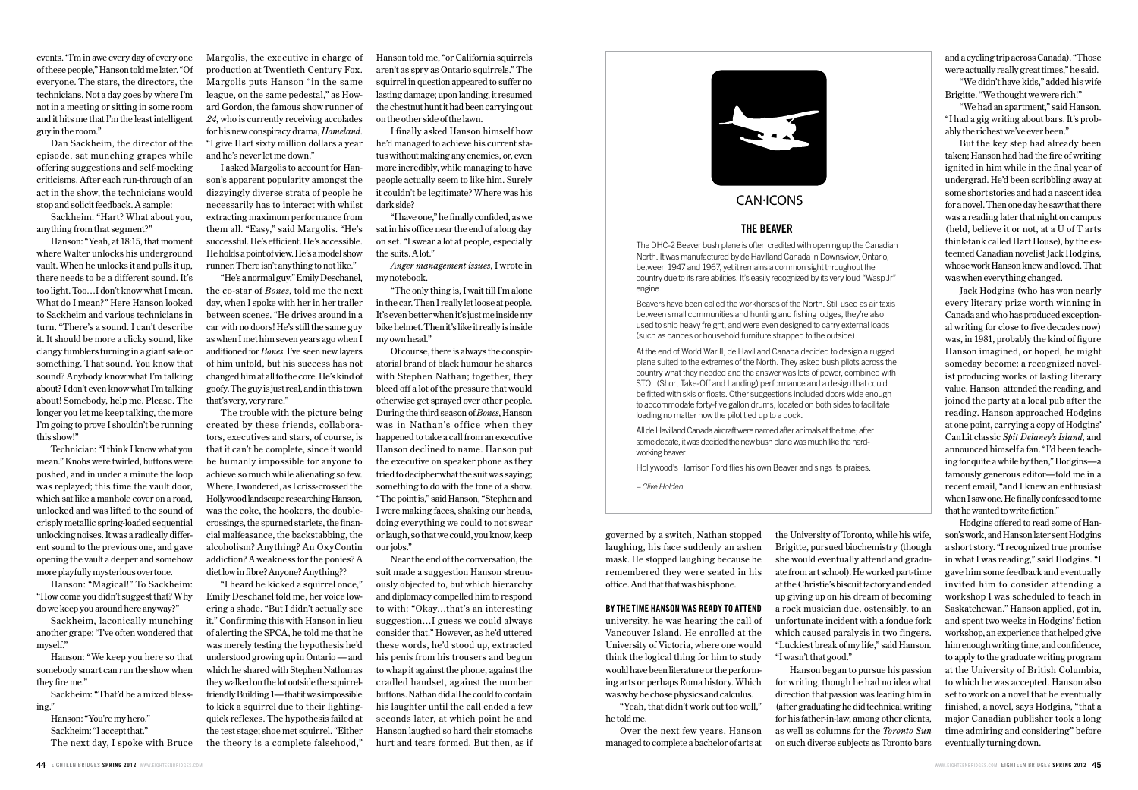events. "I'm in awe every day of every one of these people," Hanson told me later. "Of everyone. The stars, the directors, the technicians. Not a day goes by where I'm not in a meeting or sitting in some room and it hits me that I'm the least intelligent guy in the room."

Dan Sackheim, the director of the episode, sat munching grapes while offering suggestions and self-mocking criticisms. After each run-through of an act in the show, the technicians would stop and solicit feedback. A sample:

Sackheim: "Hart? What about you, anything from that segment?"

Hanson: "Yeah, at 18:15, that moment where Walter unlocks his underground vault. When he unlocks it and pulls it up, there needs to be a different sound. It's too light. Too…I don't know what I mean. What do I mean?" Here Hanson looked to Sackheim and various technicians in turn. "There's a sound. I can't describe it. It should be more a clicky sound, like clangy tumblers turning in a giant safe or something. That sound. You know that sound? Anybody know what I'm talking about? I don't even know what I'm talking about! Somebody, help me. Please. The longer you let me keep talking, the more I'm going to prove I shouldn't be running this show!"

Technician: "I think I know what you mean." Knobs were twirled, buttons were pushed, and in under a minute the loop was replayed; this time the vault door, which sat like a manhole cover on a road, unlocked and was lifted to the sound of crisply metallic spring-loaded sequential unlocking noises. It was a radically different sound to the previous one, and gave opening the vault a deeper and somehow more playfully mysterious overtone.

Hanson: "Magical!" To Sackheim: "How come you didn't suggest that? Why do we keep you around here anyway?"

Sackheim, laconically munching another grape: "I've often wondered that myself."

Hanson: "We keep you here so that somebody smart can run the show when they fire me."

Sackheim: "That'd be a mixed blessing."

Hanson: "You're my hero." Sackheim: "I accept that." The next day, I spoke with Bruce Margolis, the executive in charge of production at Twentieth Century Fox. Margolis puts Hanson "in the same league, on the same pedestal," as Howard Gordon, the famous show runner of *24*, who is currently receiving accolades for his new conspiracy drama, *Homeland*. "I give Hart sixty million dollars a year and he's never let me down."

I asked Margolis to account for Hanson's apparent popularity amongst the dizzyingly diverse strata of people he necessarily has to interact with whilst extracting maximum performance from them all. "Easy," said Margolis. "He's successful. He's efficient. He's accessible. He holds a point of view. He's a model show runner. There isn't anything to not like."

"He's a normal guy," Emily Deschanel, the co-star of *Bones*, told me the next day, when I spoke with her in her trailer between scenes. "He drives around in a car with no doors! He's still the same guy as when I met him seven years ago when I auditioned for *Bones*. I've seen new layers of him unfold, but his success has not changed him at all to the core. He's kind of goofy. The guy is just real, and in this town that's very, very rare."

The trouble with the picture being created by these friends, collaborators, executives and stars, of course, is that it can't be complete, since it would be humanly impossible for anyone to achieve so much while alienating so few. Where, I wondered, as I criss-crossed the Hollywood landscape researching Hanson, was the coke, the hookers, the doublecrossings, the spurned starlets, the financial malfeasance, the backstabbing, the alcoholism? Anything? An OxyContin addiction? A weakness for the ponies? A diet low in fibre? Anyone? Anything??

"I heard he kicked a squirrel once," Emily Deschanel told me, her voice lowering a shade. "But I didn't actually see it." Confirming this with Hanson in lieu of alerting the SPCA, he told me that he was merely testing the hypothesis he'd understood growing up in Ontario — and which he shared with Stephen Nathan as they walked on the lot outside the squirrelfriendly Building 1— that it was impossible to kick a squirrel due to their lightingquick reflexes. The hypothesis failed at the test stage; shoe met squirrel. "Either the theory is a complete falsehood," Hanson told me, "or California squirrels aren't as spry as Ontario squirrels." The squirrel in question appeared to suffer no lasting damage; upon landing, it resumed the chestnut hunt it had been carrying out on the other side of the lawn.

I finally asked Hanson himself how he'd managed to achieve his current status without making any enemies, or, even more incredibly, while managing to have people actually seem to like him. Surely it couldn't be legitimate? Where was his dark side?

"I have one," he finally confided, as we sat in his office near the end of a long day on set. "I swear a lot at people, especially the suits. A lot."

*Anger management issues*, I wrote in my notebook.

"The only thing is, I wait till I'm alone in the car. Then I really let loose at people. It's even better when it's just me inside my bike helmet. Then it's like it really is inside my own head."

Of course, there is always the conspiratorial brand of black humour he shares with Stephen Nathan; together, they bleed off a lot of the pressure that would otherwise get sprayed over other people. During the third season of *Bones*, Hanson was in Nathan's office when they happened to take a call from an executive Hanson declined to name. Hanson put the executive on speaker phone as they tried to decipher what the suit was saying; something to do with the tone of a show. "The point is," said Hanson, "Stephen and I were making faces, shaking our heads, doing everything we could to not swear or laugh, so that we could, you know, keep our jobs."

Near the end of the conversation, the suit made a suggestion Hanson strenuously objected to, but which hierarchy and diplomacy compelled him to respond to with: "Okay…that's an interesting suggestion…I guess we could always consider that." However, as he'd uttered these words, he'd stood up, extracted his penis from his trousers and begun to whap it against the phone, against the cradled handset, against the number buttons. Nathan did all he could to contain his laughter until the call ended a few seconds later, at which point he and Hanson laughed so hard their stomachs hurt and tears formed. But then, as if



# **CAN**-ICONS

# **The BEAVER**

The DHC-2 Beaver bush plane is often credited with opening up the Canadian North. It was manufactured by de Havilland Canada in Downsview, Ontario, between 1947 and 1967, yet it remains a common sight throughout the country due to its rare abilities. It's easily recognized by its very loud "Wasp Jr" engine.

Beavers have been called the workhorses of the North. Still used as air taxis between small communities and hunting and fishing lodges, they're also used to ship heavy freight, and were even designed to carry external loads (such as canoes or household furniture strapped to the outside).

At the end of World War II, de Havilland Canada decided to design a rugged plane suited to the extremes of the North. They asked bush pilots across the country what they needed and the answer was lots of power, combined with STOL (Short Take-Off and Landing) performance and a design that could be fitted with skis or floats. Other suggestions included doors wide enough to accommodate forty-five gallon drums, located on both sides to facilitate loading no matter how the pilot tied up to a dock.

All de Havilland Canada aircraft were named after animals at the time; after some debate, it was decided the new bush plane was much like the hardworking beaver.

Hollywood's Harrison Ford flies his own Beaver and sings its praises.

*– Clive Holden*

governed by a switch, Nathan stopped laughing, his face suddenly an ashen mask. He stopped laughing because he remembered they were seated in his office. And that that was his phone.

## **By the time Hanson was ready to attend**

university, he was hearing the call of Vancouver Island. He enrolled at the University of Victoria, where one would think the logical thing for him to study would have been literature or the performing arts or perhaps Roma history. Which was why he chose physics and calculus.

"Yeah, that didn't work out too well," he told me.

Over the next few years, Hanson managed to complete a bachelor of arts at

the University of Toronto, while his wife, Brigitte, pursued biochemistry (though she would eventually attend and graduate from art school). He worked part-time at the Christie's biscuit factory and ended up giving up on his dream of becoming a rock musician due, ostensibly, to an unfortunate incident with a fondue fork which caused paralysis in two fingers. "Luckiest break of my life," said Hanson. "I wasn't that good."

Hanson began to pursue his passion for writing, though he had no idea what direction that passion was leading him in (after graduating he did technical writing for his father-in-law, among other clients, as well as columns for the *Toronto Sun* on such diverse subjects as Toronto bars

and a cycling trip across Canada). "Those were actually really great times," he said. "We didn't have kids," added his wife Brigitte. "We thought we were rich!"

"We had an apartment," said Hanson. "I had a gig writing about bars. It's probably the richest we've ever been."

But the key step had already been taken; Hanson had had the fire of writing ignited in him while in the final year of undergrad. He'd been scribbling away at some short stories and had a nascent idea for a novel. Then one day he saw that there was a reading later that night on campus (held, believe it or not, at a U of T arts think-tank called Hart House), by the esteemed Canadian novelist Jack Hodgins, whose work Hanson knew and loved. That was when everything changed.

Jack Hodgins (who has won nearly every literary prize worth winning in Canada and who has produced exceptional writing for close to five decades now) was, in 1981, probably the kind of figure Hanson imagined, or hoped, he might someday become: a recognized novelist producing works of lasting literary value. Hanson attended the reading, and joined the party at a local pub after the reading. Hanson approached Hodgins at one point, carrying a copy of Hodgins' CanLit classic *Spit Delaney's Island*, and announced himself a fan. "I'd been teaching for quite a while by then," Hodgins—a famously generous editor—told me in a recent email, "and I knew an enthusiast when I saw one. He finally confessed to me that he wanted to write fiction."

Hodgins offered to read some of Hanson's work, and Hanson later sent Hodgins a short story. "I recognized true promise in what I was reading," said Hodgins. "I gave him some feedback and eventually invited him to consider attending a workshop I was scheduled to teach in Saskatchewan." Hanson applied, got in, and spent two weeks in Hodgins' fiction workshop, an experience that helped give him enough writing time, and confidence, to apply to the graduate writing program at the University of British Columbia, to which he was accepted. Hanson also set to work on a novel that he eventually finished, a novel, says Hodgins, "that a major Canadian publisher took a long time admiring and considering" before eventually turning down.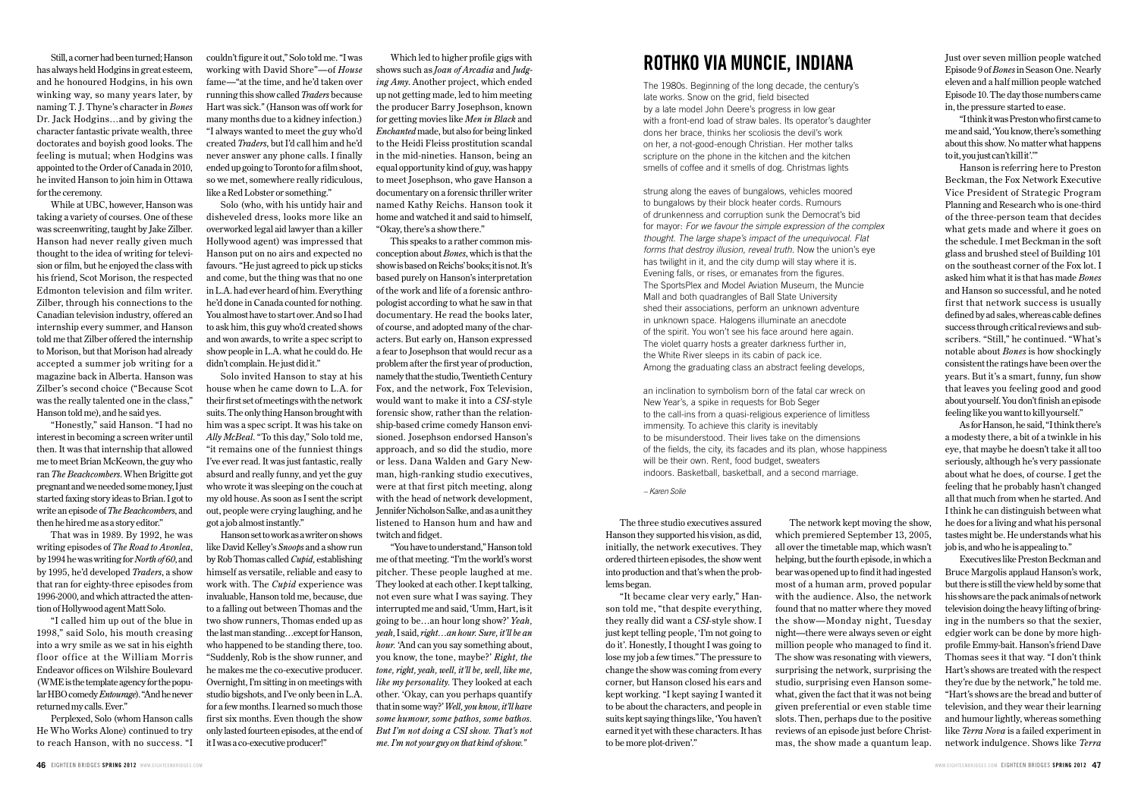Still, a corner had been turned; Hanson has always held Hodgins in great esteem, and he honoured Hodgins, in his own winking way, so many years later, by naming T. J. Thyne's character in *Bones*  Dr. Jack Hodgins…and by giving the character fantastic private wealth, three doctorates and boyish good looks. The feeling is mutual; when Hodgins was appointed to the Order of Canada in 2010, he invited Hanson to join him in Ottawa for the ceremony.

While at UBC, however, Hanson was taking a variety of courses. One of these was screenwriting, taught by Jake Zilber. Hanson had never really given much thought to the idea of writing for television or film, but he enjoyed the class with his friend, Scot Morison, the respected Edmonton television and film writer. Zilber, through his connections to the Canadian television industry, offered an internship every summer, and Hanson told me that Zilber offered the internship to Morison, but that Morison had already accepted a summer job writing for a magazine back in Alberta. Hanson was Zilber's second choice ("Because Scot was the really talented one in the class," Hanson told me), and he said yes.

"Honestly," said Hanson. "I had no interest in becoming a screen writer until then. It was that internship that allowed me to meet Brian McKeown, the guy who ran *The Beachcombers*. When Brigitte got pregnant and we needed some money, I just started faxing story ideas to Brian. I got to write an episode of *The Beachcombers*, and then he hired me as a story editor."

That was in 1989. By 1992, he was writing episodes of *The Road to Avonlea*, by 1994 he was writing for *North of 60*, and by 1995, he'd developed *Traders*, a show that ran for eighty-three episodes from 1996-2000, and which attracted the attention of Hollywood agent Matt Solo.

"I called him up out of the blue in 1998," said Solo, his mouth creasing into a wry smile as we sat in his eighth floor office at the William Morris Endeavor offices on Wilshire Boulevard (WME is the template agency for the popular HBO comedy *Entourage*). "And he never returned my calls. Ever."

Perplexed, Solo (whom Hanson calls He Who Works Alone) continued to try to reach Hanson, with no success. "I

couldn't figure it out," Solo told me. "I was working with David Shore"—of *House*  fame—"at the time, and he'd taken over running this show called *Traders* because Hart was sick.*"* (Hanson was off work for many months due to a kidney infection.) "I always wanted to meet the guy who'd created *Traders*, but I'd call him and he'd never answer any phone calls. I finally ended up going to Toronto for a film shoot, so we met, somewhere really ridiculous, like a Red Lobster or something."

Solo (who, with his untidy hair and disheveled dress, looks more like an overworked legal aid lawyer than a killer Hollywood agent) was impressed that Hanson put on no airs and expected no favours. "He just agreed to pick up sticks and come, but the thing was that no one in L.A. had ever heard of him. Everything he'd done in Canada counted for nothing. You almost have to start over. And so I had to ask him, this guy who'd created shows and won awards, to write a spec script to show people in L.A. what he could do. He didn't complain. He just did it."

Solo invited Hanson to stay at his house when he came down to L.A. for their first set of meetings with the network suits. The only thing Hanson brought with him was a spec script. It was his take on *Ally McBeal*. "To this day," Solo told me, "it remains one of the funniest things I've ever read. It was just fantastic, really absurd and really funny, and yet the guy who wrote it was sleeping on the couch at my old house. As soon as I sent the script out, people were crying laughing, and he got a job almost instantly."

Hanson set to work as a writer on shows like David Kelley's *Snoops* and a show run by Rob Thomas called *Cupid,* establishing himself as versatile, reliable and easy to work with. The *Cupid* experience was invaluable, Hanson told me, because, due to a falling out between Thomas and the two show runners, Thomas ended up as the last man standing…except for Hanson, who happened to be standing there, too. "Suddenly, Rob is the show runner, and he makes me the co-executive producer. Overnight, I'm sitting in on meetings with studio bigshots, and I've only been in L.A. for a few months. I learned so much those first six months. Even though the show only lasted fourteen episodes, at the end of it I was a co-executive producer!"

Which led to higher profile gigs with shows such as *Joan of Arcadia* and *Judging Amy*. Another project, which ended up not getting made, led to him meeting the producer Barry Josephson, known for getting movies like *Men in Black* and *Enchanted* made, but also for being linked to the Heidi Fleiss prostitution scandal in the mid-nineties. Hanson, being an equal opportunity kind of guy, was happy to meet Josephson, who gave Hanson a documentary on a forensic thriller writer named Kathy Reichs. Hanson took it home and watched it and said to himself, "Okay, there's a show there."

This speaks to a rather common misconception about *Bones*, which is that the show is based on Reichs' books; it is not. It's based purely on Hanson's interpretation of the work and life of a forensic anthropologist according to what he saw in that documentary. He read the books later, of course, and adopted many of the characters. But early on, Hanson expressed a fear to Josephson that would recur as a problem after the first year of production, namely that the studio, Twentieth Century Fox, and the network, Fox Television, would want to make it into a *CSI*-style forensic show, rather than the relationship-based crime comedy Hanson envisioned. Josephson endorsed Hanson's approach, and so did the studio, more or less. Dana Walden and Gary Newman, high-ranking studio executives, were at that first pitch meeting, along with the head of network development, Jennifer Nicholson Salke, and as a unit they listened to Hanson hum and haw and twitch and fidget.

"You have to understand," Hanson told me of that meeting. "I'm the world's worst pitcher. These people laughed at me. They looked at each other. I kept talking, not even sure what I was saying. They interrupted me and said, 'Umm, Hart, is it going to be…an hour long show?' *Yeah, yeah,* I said, *right…an hour. Sure, it'll be an hour.* 'And can you say something about, you know, the tone, maybe?' *Right, the tone, right, yeah, well, it'll be, well, like me, like my personality.* They looked at each other. 'Okay, can you perhaps quantify that in some way?' *Well, you know, it'll have some humour, some pathos, some bathos. But I'm not doing a CSI show. That's not me. I'm not your guy on that kind of show."* 

# **ROTHKO VIA MUNCIE, INDIANA**

The 1980s. Beginning of the long decade, the century's late works. Snow on the grid, field bisected by a late model John Deere's progress in low gear with a front-end load of straw bales. Its operator's daughter dons her brace, thinks her scoliosis the devil's work on her, a not-good-enough Christian. Her mother talks scripture on the phone in the kitchen and the kitchen smells of coffee and it smells of dog. Christmas lights

strung along the eaves of bungalows, vehicles moored to bungalows by their block heater cords. Rumours of drunkenness and corruption sunk the Democrat's bid for mayor: *For we favour the simple expression of the complex thought. The large shape's impact of the unequivocal. Flat forms that destroy illusion, reveal truth.* Now the union's eye has twilight in it, and the city dump will stay where it is. Evening falls, or rises, or emanates from the figures. The SportsPlex and Model Aviation Museum, the Muncie Mall and both quadrangles of Ball State University shed their associations, perform an unknown adventure in unknown space. Halogens illuminate an anecdote of the spirit. You won't see his face around here again. The violet quarry hosts a greater darkness further in, the White River sleeps in its cabin of pack ice. Among the graduating class an abstract feeling develops,

an inclination to symbolism born of the fatal car wreck on New Year's, a spike in requests for Bob Seger to the call-ins from a quasi-religious experience of limitless immensity. To achieve this clarity is inevitably to be misunderstood. Their lives take on the dimensions of the fields, the city, its facades and its plan, whose happiness will be their own. Rent, food budget, sweaters indoors. Basketball, basketball, and a second marriage.

*– Karen Solie*

The three studio executives assured Hanson they supported his vision, as did, initially, the network executives. They ordered thirteen episodes, the show went into production and that's when the problems began.

"It became clear very early," Hanson told me, "that despite everything, they really did want a *CSI*-style show. I just kept telling people, 'I'm not going to do it'. Honestly, I thought I was going to lose my job a few times." The pressure to change the show was coming from every corner, but Hanson closed his ears and kept working. "I kept saying I wanted it to be about the characters, and people in suits kept saying things like, 'You haven't earned it yet with these characters. It has to be more plot-driven'."

The network kept moving the show, which premiered September 13, 2005, all over the timetable map, which wasn't helping, but the fourth episode, in which a bear was opened up to find it had ingested most of a human arm, proved popular with the audience. Also, the network found that no matter where they moved the show—Monday night, Tuesday night—there were always seven or eight million people who managed to find it. The show was resonating with viewers, surprising the network, surprising the studio, surprising even Hanson somewhat, given the fact that it was not being given preferential or even stable time slots. Then, perhaps due to the positive reviews of an episode just before Christmas, the show made a quantum leap. Just over seven million people watched Episode 9 of *Bones* in Season One. Nearly eleven and a half million people watched Episode 10. The day those numbers came in, the pressure started to ease.

"I think it was Preston who first came to me and said, 'You know, there's something about this show. No matter what happens to it, you just can't kill it'.'"

Hanson is referring here to Preston Beckman, the Fox Network Executive Vice President of Strategic Program Planning and Research who is one-third of the three-person team that decides what gets made and where it goes on the schedule. I met Beckman in the soft glass and brushed steel of Building 101 on the southeast corner of the Fox lot. I asked him what it is that has made *Bones* and Hanson so successful, and he noted first that network success is usually defined by ad sales, whereas cable defines success through critical reviews and subscribers. "Still," he continued. "What's notable about *Bones* is how shockingly consistent the ratings have been over the years. But it's a smart, funny, fun show that leaves you feeling good and good about yourself. You don't finish an episode feeling like you want to kill yourself."

As for Hanson, he said, "I think there's a modesty there, a bit of a twinkle in his eye, that maybe he doesn't take it all too seriously, although he's very passionate about what he does, of course. I get the feeling that he probably hasn't changed all that much from when he started. And I think he can distinguish between what he does for a living and what his personal tastes might be. He understands what his job is, and who he is appealing to."

Executives like Preston Beckman and Bruce Margolis applaud Hanson's work, but there is still the view held by some that his shows are the pack animals of network television doing the heavy lifting of bringing in the numbers so that the sexier, edgier work can be done by more highprofile Emmy-bait. Hanson's friend Dave Thomas sees it that way. "I don't think Hart's shows are treated with the respect they're due by the network," he told me. "Hart's shows are the bread and butter of television, and they wear their learning and humour lightly, whereas something like *Terra Nova* is a failed experiment in network indulgence. Shows like *Terra*